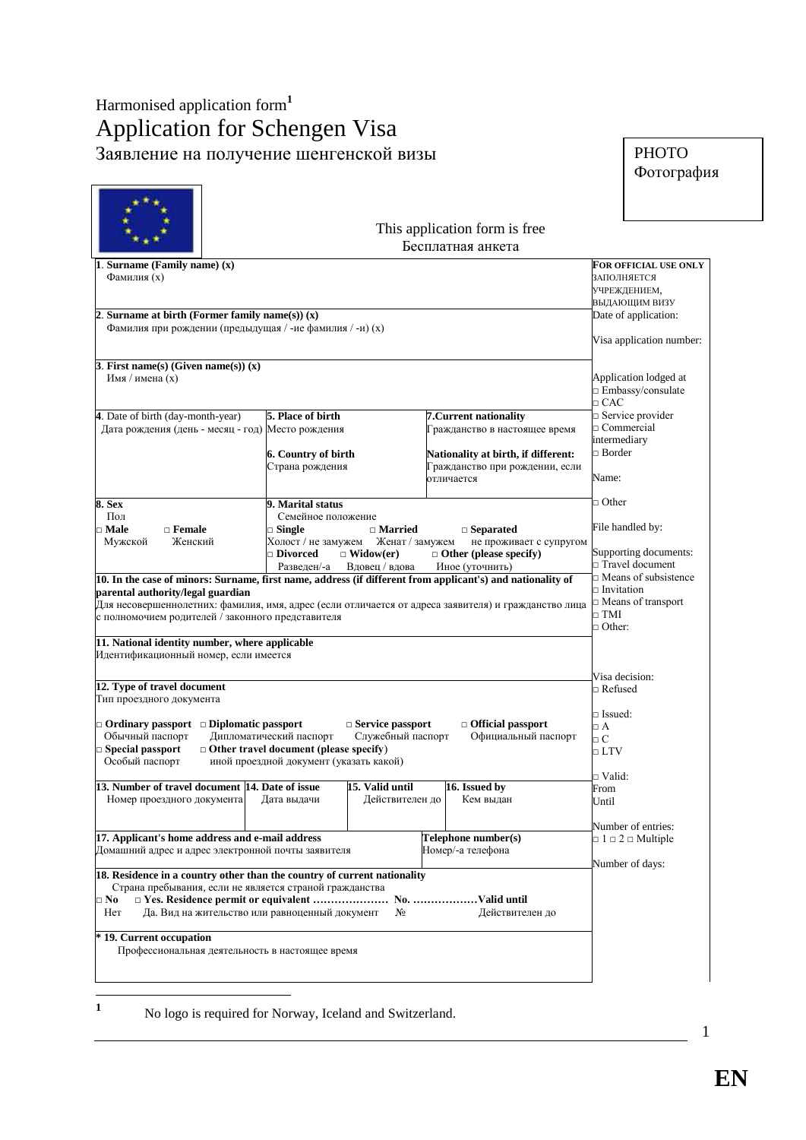## Harmonised application form**<sup>1</sup>** Application for Schengen Visa Заявление на получение шенгенской визы

÷

| <b>PHOTO</b> |
|--------------|
| Фотография   |

| 1. Surname (Family name) (x)<br>Фамилия (х)                                                                                                                                                                                                                                                                                                       | FOR OFFICIAL USE ONLY<br><b>ЗАПОЛНЯЕТСЯ</b><br>УЧРЕЖДЕНИЕМ,<br>ВЫДАЮЩИМ ВИЗУ                                        |                                              |                                                                                                                                                |                                                                                                       |
|---------------------------------------------------------------------------------------------------------------------------------------------------------------------------------------------------------------------------------------------------------------------------------------------------------------------------------------------------|---------------------------------------------------------------------------------------------------------------------|----------------------------------------------|------------------------------------------------------------------------------------------------------------------------------------------------|-------------------------------------------------------------------------------------------------------|
| 2. Surname at birth (Former family name(s)) $(x)$<br>Фамилия при рождении (предыдущая / -ие фамилия / -и) (х)                                                                                                                                                                                                                                     |                                                                                                                     |                                              |                                                                                                                                                | Date of application:<br>Visa application number:                                                      |
| 3. First name(s) (Given name(s)) $(x)$<br>Имя / имена (х)                                                                                                                                                                                                                                                                                         |                                                                                                                     |                                              |                                                                                                                                                | Application lodged at<br>□ Embassy/consulate<br>$\Box$ CAC                                            |
| 4. Date of birth (day-month-year)<br>Дата рождения (день - месяц - год) Место рождения                                                                                                                                                                                                                                                            | 5. Place of birth<br>6. Country of birth<br>Страна рождения                                                         |                                              | 7. Current nationality<br>Гражданство в настоящее время<br>Nationality at birth, if different:<br>Гражданство при рождении, если<br>отличается | $\Box$ Service provider<br>Ommercial<br>intermediary<br>$\Box$ Border<br>Name:                        |
| 8. Sex<br>Пол<br><b>⊐ Male</b><br>$\Box$ Female<br>Женский<br>Мужской                                                                                                                                                                                                                                                                             | ⊐ Other<br>File handled by:<br>не проживает с супругом<br>Supporting documents:<br>□ Travel document                |                                              |                                                                                                                                                |                                                                                                       |
| 10. In the case of minors: Surname, first name, address (if different from applicant's) and nationality of<br>parental authority/legal guardian<br>Для несовершеннолетних: фамилия, имя, адрес (если отличается от адреса заявителя) и гражданство лица<br>с полномочием родителей / законного представителя                                      |                                                                                                                     |                                              |                                                                                                                                                | Means of subsistence<br>$\Box$ Invitation<br>$\Box$ Means of transport<br>$\Box$ TMI<br>$\Box$ Other: |
| 11. National identity number, where applicable<br>Идентификационный номер, если имеется                                                                                                                                                                                                                                                           |                                                                                                                     |                                              |                                                                                                                                                | Visa decision:                                                                                        |
| 12. Type of travel document<br>Тип проездного документа<br>$\Box$ Ordinary passport $\Box$ Diplomatic passport<br>Обычный паспорт<br>□ Special passport<br>Особый паспорт                                                                                                                                                                         | Дипломатический паспорт<br>$\Box$ Other travel document (please specify)<br>иной проездной документ (указать какой) | $\Box$ Service passport<br>Служебный паспорт | $\Box$ Official passport<br>Официальный паспорт                                                                                                | ⊐ Refused<br>□ Issued:<br>$\Box$ A<br>$\Box C$<br>$\Box$ LTV<br>⊐ Valid:                              |
| 13. Number of travel document 14. Date of issue<br>Номер проездного документа Дата выдачи                                                                                                                                                                                                                                                         |                                                                                                                     | 15. Valid until<br>Действителен до           | 16. Issued by<br>Кем выдан                                                                                                                     | From<br>Until<br>Number of entries:                                                                   |
| 17. Applicant's home address and e-mail address<br>Домашний адрес и адрес электронной почты заявителя<br>18. Residence in a country other than the country of current nationality<br>Страна пребывания, если не является страной гражданства<br>$\square$ No<br>Да. Вид на жительство или равноценный документ<br>Her<br>* 19. Current occupation |                                                                                                                     | N <sub>2</sub>                               | Telephone number(s)<br>Номер/-а телефона<br>Действителен до                                                                                    | $\Box$ 1 $\Box$ 2 $\Box$ Multiple<br>Number of days:                                                  |
| Профессиональная деятельность в настоящее время                                                                                                                                                                                                                                                                                                   |                                                                                                                     |                                              |                                                                                                                                                |                                                                                                       |

No logo is required for Norway, Iceland and Switzerland.

**1**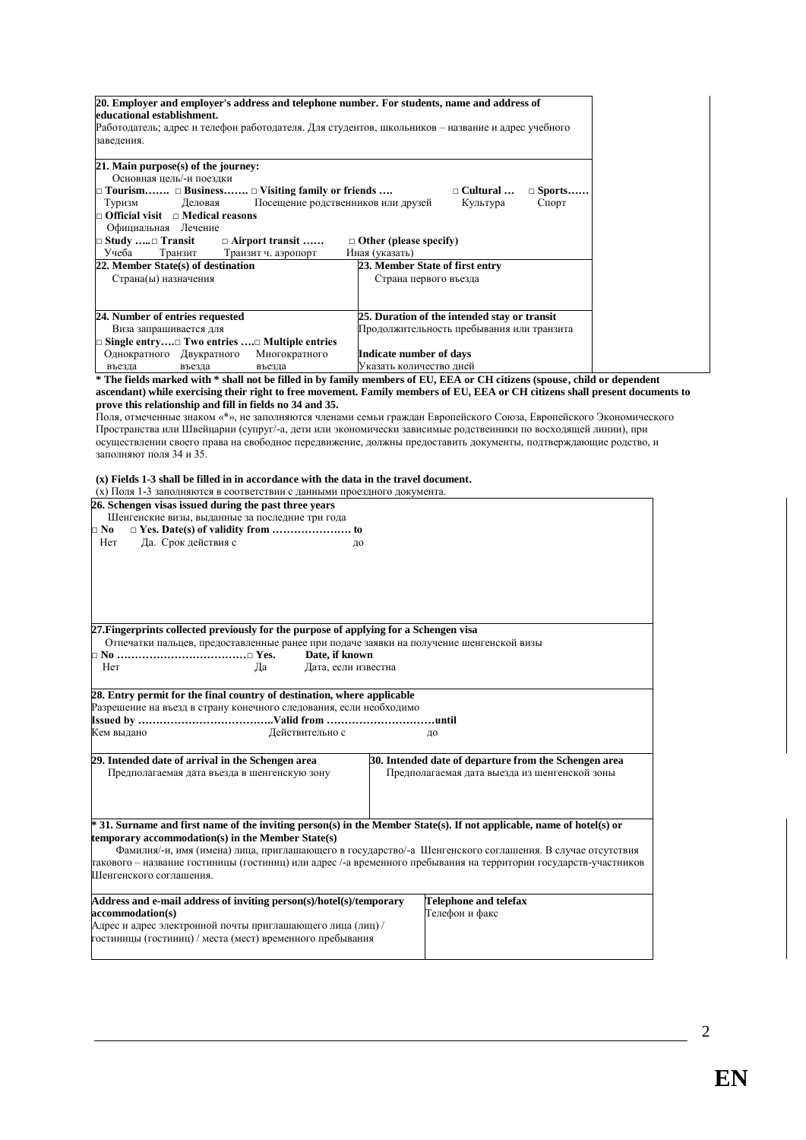| 20. Employer and employer's address and telephone number. For students, name and address of<br>educational establishment.<br>Работодатель; адрес и телефон работодателя. Для студентов, школьников – название и адрес учебного<br>заведения.                                                                                                                                                                      |                                                                                                                                                                                                                                                                                                                                                                                                                                                                                             |  |
|-------------------------------------------------------------------------------------------------------------------------------------------------------------------------------------------------------------------------------------------------------------------------------------------------------------------------------------------------------------------------------------------------------------------|---------------------------------------------------------------------------------------------------------------------------------------------------------------------------------------------------------------------------------------------------------------------------------------------------------------------------------------------------------------------------------------------------------------------------------------------------------------------------------------------|--|
| 21. Main purpose(s) of the journey:<br>Основная цель/-и поездки<br>$\Box$ Tourism $\Box$ Business $\Box$ Visiting family or friends<br>Туризм<br>Деловая<br>Посещение родственников или друзей<br>$\Box$ Official visit $\Box$ Medical reasons<br>Официальная Лечение<br><b>□ Study </b> □ Transit<br>□ Airport transit                                                                                           | $\Box$ Cultural<br>$\Box$ Sports<br>Спорт<br>Культура<br>$\Box$ Other (please specify)                                                                                                                                                                                                                                                                                                                                                                                                      |  |
| Учеба<br>Транзит<br>Транзит ч. аэропорт<br>22. Member State(s) of destination<br>Страна(ы) назначения                                                                                                                                                                                                                                                                                                             | Иная (указать)<br>23. Member State of first entry<br>Страна первого въезда                                                                                                                                                                                                                                                                                                                                                                                                                  |  |
| 24. Number of entries requested<br>Виза запрашивается для<br>□ Single entry□ Two entries □ Multiple entries<br>Однократного Двукратного<br>Многократного<br>въезда<br>въезда<br>въезда                                                                                                                                                                                                                            | 25. Duration of the intended stay or transit<br>Продолжительность пребывания или транзита<br>Indicate number of days<br>Указать количество дней                                                                                                                                                                                                                                                                                                                                             |  |
| prove this relationship and fill in fields no 34 and 35.<br>заполняют поля 34 и 35.<br>(x) Fields 1-3 shall be filled in in accordance with the data in the travel document.<br>(х) Поля 1-3 заполняются в соответствии с данными проездного документа.<br>26. Schengen visas issued during the past three years<br>Шенгенские визы, выданные за последние три года<br>$\square$ No<br>Her<br>Да. Срок действия с | ascendant) while exercising their right to free movement. Family members of EU, EEA or CH citizens shall present documents to<br>Поля, отмеченные знаком «*», не заполняются членами семьи граждан Европейского Союза, Европейского Экономического<br>Пространства или Швейцарии (супруг/-а, дети или экономически зависимые родственники по восходящей линии), при<br>осуществлении своего права на свободное передвижение, должны предоставить документы, подтверждающие родство, и<br>до |  |
| 27. Fingerprints collected previously for the purpose of applying for a Schengen visa<br>Отпечатки пальцев, предоставленные ранее при подаче заявки на получение шенгенской визы<br>Date, if known<br>Her<br>Дата, если известна<br>Да                                                                                                                                                                            |                                                                                                                                                                                                                                                                                                                                                                                                                                                                                             |  |
| 28. Entry permit for the final country of destination, where applicable<br>Разрешение на въезд в страну конечного следования, если необходимо<br>Кем вылано<br>Действительно с                                                                                                                                                                                                                                    | до                                                                                                                                                                                                                                                                                                                                                                                                                                                                                          |  |
| 29. Intended date of arrival in the Schengen area<br>30. Intended date of departure from the Schengen area<br>Предполагаемая дата выезда из шенгенской зоны<br>Предполагаемая дата въезда в шенгенскую зону                                                                                                                                                                                                       |                                                                                                                                                                                                                                                                                                                                                                                                                                                                                             |  |
| temporary accommodation(s) in the Member State(s)<br>Шенгенского соглашения.                                                                                                                                                                                                                                                                                                                                      | * 31. Surname and first name of the inviting person(s) in the Member State(s). If not applicable, name of hotel(s) or<br>Фамилия/-и, имя (имена) лица, приглашающего в государство/-а Шенгенского соглашения. В случае отсутствия<br>такового – название гостиницы (гостиниц) или адрес /-а временного пребывания на территории государств-участников                                                                                                                                       |  |
| Address and e-mail address of inviting person(s)/hotel(s)/temporary<br>accommodation(s)<br>Адрес и адрес электронной почты приглашающего лица (лиц) /<br>гостиницы (гостиниц) / места (мест) временного пребывания                                                                                                                                                                                                | <b>Telephone and telefax</b><br>Телефон и факс                                                                                                                                                                                                                                                                                                                                                                                                                                              |  |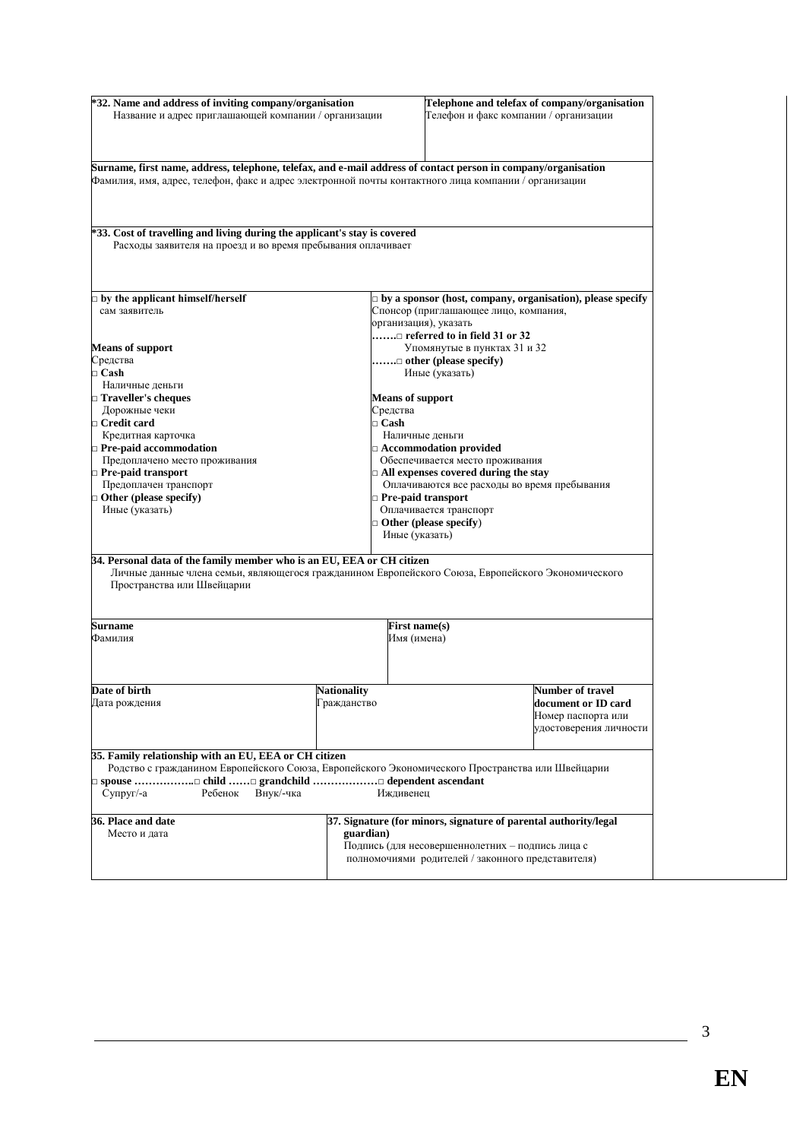| *32. Name and address of inviting company/organisation<br>Название и адрес приглашающей компании / организации                                                                                                         | Telephone and telefax of company/organisation<br>Телефон и факс компании / организации |                                                                                                    |  |  |  |
|------------------------------------------------------------------------------------------------------------------------------------------------------------------------------------------------------------------------|----------------------------------------------------------------------------------------|----------------------------------------------------------------------------------------------------|--|--|--|
|                                                                                                                                                                                                                        |                                                                                        |                                                                                                    |  |  |  |
| Surname, first name, address, telephone, telefax, and e-mail address of contact person in company/organisation<br>Фамилия, имя, адрес, телефон, факс и адрес электронной почты контактного лица компании / организации |                                                                                        |                                                                                                    |  |  |  |
|                                                                                                                                                                                                                        |                                                                                        |                                                                                                    |  |  |  |
| *33. Cost of travelling and living during the applicant's stay is covered<br>Расходы заявителя на проезд и во время пребывания оплачивает                                                                              |                                                                                        |                                                                                                    |  |  |  |
|                                                                                                                                                                                                                        |                                                                                        |                                                                                                    |  |  |  |
| $\square$ by the applicant himself/herself                                                                                                                                                                             |                                                                                        | $\Box$ by a sponsor (host, company, organisation), please specify                                  |  |  |  |
| сам заявитель                                                                                                                                                                                                          |                                                                                        | Спонсор (приглашающее лицо, компания,                                                              |  |  |  |
|                                                                                                                                                                                                                        |                                                                                        | организация), указать                                                                              |  |  |  |
|                                                                                                                                                                                                                        |                                                                                        | □ referred to in field 31 or 32                                                                    |  |  |  |
| <b>Means of support</b>                                                                                                                                                                                                |                                                                                        | Упомянутые в пунктах 31 и 32                                                                       |  |  |  |
| Средства<br>$\Box$ Cash                                                                                                                                                                                                |                                                                                        | $\dots \dots \square$ other (please specify)<br>Иные (указать)                                     |  |  |  |
| Наличные деньги                                                                                                                                                                                                        |                                                                                        |                                                                                                    |  |  |  |
| $\Box$ Traveller's cheques                                                                                                                                                                                             |                                                                                        | <b>Means of support</b>                                                                            |  |  |  |
| Дорожные чеки                                                                                                                                                                                                          | Средства                                                                               |                                                                                                    |  |  |  |
| □ Credit card                                                                                                                                                                                                          | $\Box$ Cash                                                                            |                                                                                                    |  |  |  |
| Кредитная карточка                                                                                                                                                                                                     |                                                                                        | Наличные деньги                                                                                    |  |  |  |
| $\Box$ Pre-paid accommodation                                                                                                                                                                                          |                                                                                        | Accommodation provided                                                                             |  |  |  |
| Предоплачено место проживания                                                                                                                                                                                          |                                                                                        | Обеспечивается место проживания                                                                    |  |  |  |
| $\Box$ Pre-paid transport                                                                                                                                                                                              |                                                                                        | $\Box$ All expenses covered during the stay                                                        |  |  |  |
| Предоплачен транспорт                                                                                                                                                                                                  |                                                                                        | Оплачиваются все расходы во время пребывания                                                       |  |  |  |
| $\Box$ Other (please specify)                                                                                                                                                                                          |                                                                                        | Pre-paid transport                                                                                 |  |  |  |
| Иные (указать)                                                                                                                                                                                                         |                                                                                        | Оплачивается транспорт                                                                             |  |  |  |
|                                                                                                                                                                                                                        |                                                                                        | $\Box$ Other (please specify)                                                                      |  |  |  |
|                                                                                                                                                                                                                        |                                                                                        | Иные (указать)                                                                                     |  |  |  |
| 34. Personal data of the family member who is an EU, EEA or CH citizen<br>Пространства или Швейцарии                                                                                                                   |                                                                                        | Личные данные члена семьи, являющегося гражданином Европейского Союза, Европейского Экономического |  |  |  |
|                                                                                                                                                                                                                        |                                                                                        |                                                                                                    |  |  |  |
| Surname                                                                                                                                                                                                                |                                                                                        | <b>First name(s)</b>                                                                               |  |  |  |
| Фамилия                                                                                                                                                                                                                |                                                                                        | Имя (имена)                                                                                        |  |  |  |
|                                                                                                                                                                                                                        |                                                                                        |                                                                                                    |  |  |  |
| Date of birth                                                                                                                                                                                                          | <b>Nationality</b>                                                                     | Number of travel                                                                                   |  |  |  |
| Дата рождения                                                                                                                                                                                                          | Гражданство                                                                            | document or ID card<br>Номер паспорта или<br>удостоверения личности                                |  |  |  |
| 35. Family relationship with an EU, EEA or CH citizen                                                                                                                                                                  |                                                                                        |                                                                                                    |  |  |  |
|                                                                                                                                                                                                                        |                                                                                        | Родство с гражданином Европейского Союза, Европейского Экономического Пространства или Швейцарии   |  |  |  |
| Супруг/-а<br>Внук/-чка<br>Ребенок                                                                                                                                                                                      | Иждивенец                                                                              |                                                                                                    |  |  |  |
| 36. Place and date                                                                                                                                                                                                     |                                                                                        | 37. Signature (for minors, signature of parental authority/legal                                   |  |  |  |
| Место и дата<br>guardian)                                                                                                                                                                                              |                                                                                        |                                                                                                    |  |  |  |
|                                                                                                                                                                                                                        |                                                                                        | Подпись (для несовершеннолетних - подпись лица с                                                   |  |  |  |
|                                                                                                                                                                                                                        |                                                                                        | полномочиями родителей / законного представителя)                                                  |  |  |  |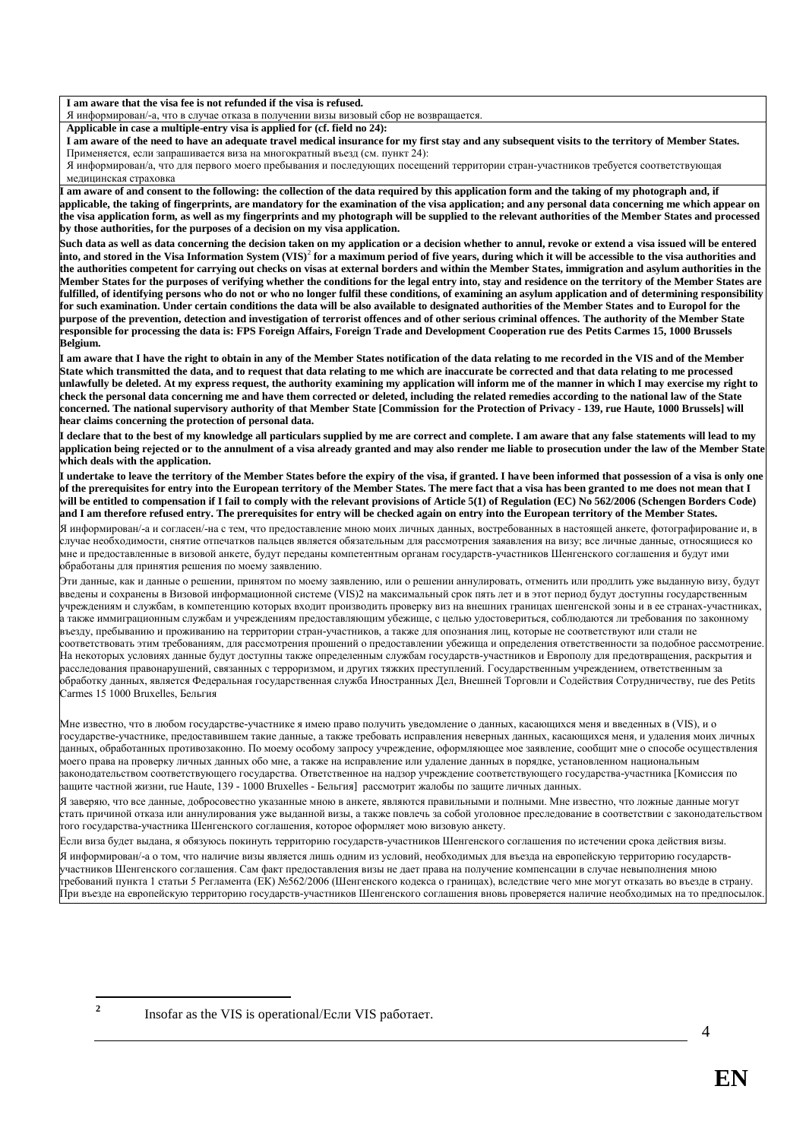**I am aware that the visa fee is not refunded if the visa is refused.**

Я информирован/-а, что в случае отказа в получении визы визовый сбор не возвращается.

**Applicable in case a multiple-entry visa is applied for (cf. field no 24):**

**I am aware of the need to have an adequate travel medical insurance for my first stay and any subsequent visits to the territory of Member States.** Применяется, если запрашивается виза на многократный въезд (см. пункт 24):

Я информирован/а, что для первого моего пребывания и последующих посещений территории стран-участников требуется соответствующая медицинская страховка

**I am aware of and consent to the following: the collection of the data required by this application form and the taking of my photograph and, if applicable, the taking of fingerprints, are mandatory for the examination of the visa application; and any personal data concerning me which appear on the visa application form, as well as my fingerprints and my photograph will be supplied to the relevant authorities of the Member States and processed by those authorities, for the purposes of a decision on my visa application.**

**Such data as well as data concerning the decision taken on my application or a decision whether to annul, revoke or extend a visa issued will be entered into, and stored in the Visa Information System (VIS)**<sup>2</sup> **for a maximum period of five years, during which it will be accessible to the visa authorities and the authorities competent for carrying out checks on visas at external borders and within the Member States, immigration and asylum authorities in the Member States for the purposes of verifying whether the conditions for the legal entry into, stay and residence on the territory of the Member States are fulfilled, of identifying persons who do not or who no longer fulfil these conditions, of examining an asylum application and of determining responsibility for such examination. Under certain conditions the data will be also available to designated authorities of the Member States and to Europol for the purpose of the prevention, detection and investigation of terrorist offences and of other serious criminal offences. The authority of the Member State responsible for processing the data is: FPS Foreign Affairs, Foreign Trade and Development Cooperation rue des Petits Carmes 15, 1000 Brussels Belgium.**

**I am aware that I have the right to obtain in any of the Member States notification of the data relating to me recorded in the VIS and of the Member State which transmitted the data, and to request that data relating to me which are inaccurate be corrected and that data relating to me processed unlawfully be deleted. At my express request, the authority examining my application will inform me of the manner in which I may exercise my right to check the personal data concerning me and have them corrected or deleted, including the related remedies according to the national law of the State concerned. The national supervisory authority of that Member State [Commission for the Protection of Privacy - 139, rue Haute, 1000 Brussels] will hear claims concerning the protection of personal data.**

**I declare that to the best of my knowledge all particulars supplied by me are correct and complete. I am aware that any false statements will lead to my application being rejected or to the annulment of a visa already granted and may also render me liable to prosecution under the law of the Member State which deals with the application.**

**I undertake to leave the territory of the Member States before the expiry of the visa, if granted. I have been informed that possession of a visa is only one of the prerequisites for entry into the European territory of the Member States. The mere fact that a visa has been granted to me does not mean that I will be entitled to compensation if I fail to comply with the relevant provisions of Article 5(1) of Regulation (EC) No 562/2006 (Schengen Borders Code) and I am therefore refused entry. The prerequisites for entry will be checked again on entry into the European territory of the Member States.** Я информирован/-а и согласен/-на с тем, что предоставление мною моих личных данных, востребованных в настоящей анкете, фотографирование и, в

случае необходимости, снятие отпечатков пальцев является обязательным для рассмотрения заяавления на визу; все личные данные, относящиеся ко мне и предоставленные в визовой анкете, будут переданы компетентным органам государств-участников Шенгенского соглашения и будут ими обработаны для принятия решения по моему заявлению.

Эти данные, как и данные о решении, принятом по моему заявлению, или о решении аннулировать, отменить или продлить уже выданную визу, будут введены и сохранены в Визовой информационной системе (VIS)2 на максимальный срок пять лет и в этот период будут доступны государственным учреждениям и службам, в компетенцию которых входит производить проверку виз на внешних границах шенгенской зоны и в ее странах-участниках, а также иммиграционным службам и учреждениям предоставляющим убежище, с целью удостовериться, соблюдаются ли требования по законному въезду, пребыванию и проживанию на территории стран-участников, а также для опознания лиц, которые не соответствуют или стали не соответствовать этим требованиям, для рассмотрения прошений о предоставлении убежища и определения ответственности за подобное рассмотрение. На некоторых условиях данные будут доступны также определенным службам государств-участников и Европолу для предотвращения, раскрытия и расследования правонарушений, связанных с терроризмом, и других тяжких преступлений. Государственным учреждением, ответственным за обработку данных, является Федеральная государственная служба Иностранных Дел, Внешней Торговли и Содействия Сотрудничеству, rue des Petits Carmes 15 1000 Bruxelles, Бельгия

Мне известно, что в любом государстве-участнике я имею право получить уведомление о данных, касающихся меня и введенных в (VIS), и о государстве-участнике, предоставившем такие данные, а также требовать исправления неверных данных, касающихся меня, и удаления моих личных данных, обработанных противозаконно. По моему особому запросу учреждение, оформляющее мое заявление, сообщит мне о способе осуществления моего права на проверку личных данных обо мне, а также на исправление или удаление данных в порядке, установленном национальным законодательством соответствующего государства. Ответственное на надзор учреждение соответствующего государства-участника [Комиссия по защите частной жизни, rue Haute, 139 - 1000 Bruxelles - Бельгия] рассмотрит жалобы по защите личных данных.

Я заверяю, что все данные, добросовестно указанные мною в анкете, являются правильными и полными. Мне известно, что ложные данные могут стать причиной отказа или аннулирования уже выданной визы, а также повлечь за собой уголовное преследование в соответствии с законодательством того государства-участника Шенгенского соглашения, которое оформляет мою визовую анкету.

Если виза будет выдана, я обязуюсь покинуть территорию государств-участников Шенгенского соглашения по истечении срока действия визы.

Я информирован/-а о том, что наличие визы является лишь одним из условий, необходимых для въезда на европейскую территорию государствучастников Шенгенского соглашения. Сам факт предоставления визы не дает права на получение компенсации в случае невыполнения мною требований пункта 1 статьи 5 Регламента (ЕК) №562/2006 (Шенгенского кодекса о границах), вследствие чего мне могут отказать во въезде в страну. При въезде на европейскую территорию государств-участников Шенгенского соглашения вновь проверяется наличие необходимых на то предпосылок.

Insofar as the VIS is operational/Если VIS работает.

<u>.</u> **2**